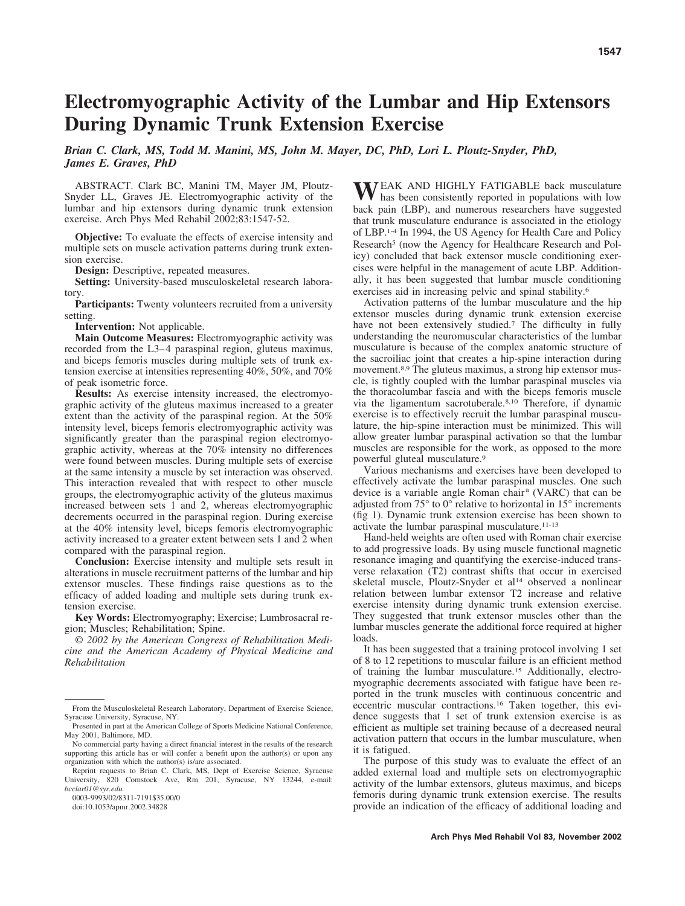# **Electromyographic Activity of the Lumbar and Hip Extensors During Dynamic Trunk Extension Exercise**

*Brian C. Clark, MS, Todd M. Manini, MS, John M. Mayer, DC, PhD, Lori L. Ploutz-Snyder, PhD, James E. Graves, PhD*

ABSTRACT. Clark BC, Manini TM, Mayer JM, Ploutz-Snyder LL, Graves JE. Electromyographic activity of the lumbar and hip extensors during dynamic trunk extension exercise. Arch Phys Med Rehabil 2002;83:1547-52.

**Objective:** To evaluate the effects of exercise intensity and multiple sets on muscle activation patterns during trunk extension exercise.

**Design:** Descriptive, repeated measures.

**Setting:** University-based musculoskeletal research laboratory.

**Participants:** Twenty volunteers recruited from a university setting.

**Intervention:** Not applicable.

**Main Outcome Measures:** Electromyographic activity was recorded from the L3–4 paraspinal region, gluteus maximus, and biceps femoris muscles during multiple sets of trunk extension exercise at intensities representing 40%, 50%, and 70% of peak isometric force.

**Results:** As exercise intensity increased, the electromyographic activity of the gluteus maximus increased to a greater extent than the activity of the paraspinal region. At the 50% intensity level, biceps femoris electromyographic activity was significantly greater than the paraspinal region electromyographic activity, whereas at the 70% intensity no differences were found between muscles. During multiple sets of exercise at the same intensity a muscle by set interaction was observed. This interaction revealed that with respect to other muscle groups, the electromyographic activity of the gluteus maximus increased between sets 1 and 2, whereas electromyographic decrements occurred in the paraspinal region. During exercise at the 40% intensity level, biceps femoris electromyographic activity increased to a greater extent between sets 1 and 2 when compared with the paraspinal region.

**Conclusion:** Exercise intensity and multiple sets result in alterations in muscle recruitment patterns of the lumbar and hip extensor muscles. These findings raise questions as to the efficacy of added loading and multiple sets during trunk extension exercise.

**Key Words:** Electromyography; Exercise; Lumbrosacral region; Muscles; Rehabilitation; Spine.

© *2002 by the American Congress of Rehabilitation Medicine and the American Academy of Physical Medicine and Rehabilitation*

0003-9993/02/8311-7191\$35.00/0

doi:10.1053/apmr.2002.34828

WEAK AND HIGHLY FATIGABLE back musculature<br>has been consistently reported in populations with low back pain (LBP), and numerous researchers have suggested that trunk musculature endurance is associated in the etiology of LBP.1-4 In 1994, the US Agency for Health Care and Policy Research<sup>5</sup> (now the Agency for Healthcare Research and Policy) concluded that back extensor muscle conditioning exercises were helpful in the management of acute LBP. Additionally, it has been suggested that lumbar muscle conditioning exercises aid in increasing pelvic and spinal stability.6

Activation patterns of the lumbar musculature and the hip extensor muscles during dynamic trunk extension exercise have not been extensively studied.<sup>7</sup> The difficulty in fully understanding the neuromuscular characteristics of the lumbar musculature is because of the complex anatomic structure of the sacroiliac joint that creates a hip-spine interaction during movement.<sup>8,9</sup> The gluteus maximus, a strong hip extensor muscle, is tightly coupled with the lumbar paraspinal muscles via the thoracolumbar fascia and with the biceps femoris muscle via the ligamentum sacrotuberale.8,10 Therefore, if dynamic exercise is to effectively recruit the lumbar paraspinal musculature, the hip-spine interaction must be minimized. This will allow greater lumbar paraspinal activation so that the lumbar muscles are responsible for the work, as opposed to the more powerful gluteal musculature.9

Various mechanisms and exercises have been developed to effectively activate the lumbar paraspinal muscles. One such device is a variable angle Roman chair<sup>a</sup> (VARC) that can be adjusted from 75° to 0° relative to horizontal in 15° increments (fig 1). Dynamic trunk extension exercise has been shown to activate the lumbar paraspinal musculature.<sup>11-13</sup>

Hand-held weights are often used with Roman chair exercise to add progressive loads. By using muscle functional magnetic resonance imaging and quantifying the exercise-induced transverse relaxation (T2) contrast shifts that occur in exercised skeletal muscle, Ploutz-Snyder et al<sup>14</sup> observed a nonlinear relation between lumbar extensor T2 increase and relative exercise intensity during dynamic trunk extension exercise. They suggested that trunk extensor muscles other than the lumbar muscles generate the additional force required at higher loads.

It has been suggested that a training protocol involving 1 set of 8 to 12 repetitions to muscular failure is an efficient method of training the lumbar musculature.15 Additionally, electromyographic decrements associated with fatigue have been reported in the trunk muscles with continuous concentric and eccentric muscular contractions.<sup>16</sup> Taken together, this evidence suggests that 1 set of trunk extension exercise is as efficient as multiple set training because of a decreased neural activation pattern that occurs in the lumbar musculature, when it is fatigued.

The purpose of this study was to evaluate the effect of an added external load and multiple sets on electromyographic activity of the lumbar extensors, gluteus maximus, and biceps femoris during dynamic trunk extension exercise. The results provide an indication of the efficacy of additional loading and

From the Musculoskeletal Research Laboratory, Department of Exercise Science, Syracuse University, Syracuse, NY.

Presented in part at the American College of Sports Medicine National Conference, May 2001, Baltimore, MD.

No commercial party having a direct financial interest in the results of the research supporting this article has or will confer a benefit upon the author(s) or upon any organization with which the author(s) is/are associated.

Reprint requests to Brian C. Clark, MS, Dept of Exercise Science, Syracuse University, 820 Comstock Ave, Rm 201, Syracuse, NY 13244, e-mail: *bcclar01@syr.edu.*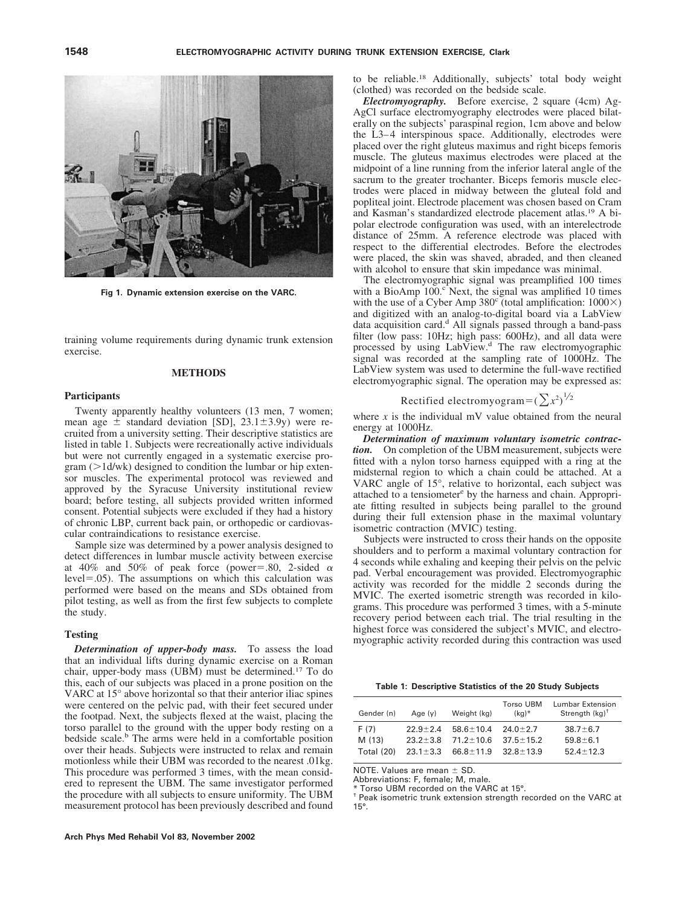

**Fig 1. Dynamic extension exercise on the VARC.**

training volume requirements during dynamic trunk extension exercise.

## **METHODS**

### **Participants**

Twenty apparently healthy volunteers (13 men, 7 women; mean age  $\pm$  standard deviation [SD], 23.1 $\pm$ 3.9y) were recruited from a university setting. Their descriptive statistics are listed in table 1. Subjects were recreationally active individuals but were not currently engaged in a systematic exercise pro $gram$  ( $>$ 1d/wk) designed to condition the lumbar or hip extensor muscles. The experimental protocol was reviewed and approved by the Syracuse University institutional review board; before testing, all subjects provided written informed consent. Potential subjects were excluded if they had a history of chronic LBP, current back pain, or orthopedic or cardiovascular contraindications to resistance exercise.

Sample size was determined by a power analysis designed to detect differences in lumbar muscle activity between exercise at 40% and 50% of peak force (power=.80, 2-sided  $\alpha$ )  $level = .05$ ). The assumptions on which this calculation was performed were based on the means and SDs obtained from pilot testing, as well as from the first few subjects to complete the study.

## **Testing**

*Determination of upper-body mass.* To assess the load that an individual lifts during dynamic exercise on a Roman chair, upper-body mass (UBM) must be determined.17 To do this, each of our subjects was placed in a prone position on the VARC at 15° above horizontal so that their anterior iliac spines were centered on the pelvic pad, with their feet secured under the footpad. Next, the subjects flexed at the waist, placing the torso parallel to the ground with the upper body resting on a bedside scale.<sup>b</sup> The arms were held in a comfortable position over their heads. Subjects were instructed to relax and remain motionless while their UBM was recorded to the nearest .01kg. This procedure was performed 3 times, with the mean considered to represent the UBM. The same investigator performed the procedure with all subjects to ensure uniformity. The UBM measurement protocol has been previously described and found

to be reliable.18 Additionally, subjects' total body weight (clothed) was recorded on the bedside scale.

*Electromyography.* Before exercise, 2 square (4cm) Ag-AgCl surface electromyography electrodes were placed bilaterally on the subjects' paraspinal region, 1cm above and below the L3–4 interspinous space. Additionally, electrodes were placed over the right gluteus maximus and right biceps femoris muscle. The gluteus maximus electrodes were placed at the midpoint of a line running from the inferior lateral angle of the sacrum to the greater trochanter. Biceps femoris muscle electrodes were placed in midway between the gluteal fold and popliteal joint. Electrode placement was chosen based on Cram and Kasman's standardized electrode placement atlas.19 A bipolar electrode configuration was used, with an interelectrode distance of 25mm. A reference electrode was placed with respect to the differential electrodes. Before the electrodes were placed, the skin was shaved, abraded, and then cleaned with alcohol to ensure that skin impedance was minimal.

The electromyographic signal was preamplified 100 times with a BioAmp  $100<sup>c</sup>$  Next, the signal was amplified 10 times with the use of a Cyber Amp  $380^\circ$  (total amplification:  $1000\times$ ) and digitized with an analog-to-digital board via a LabView data acquisition card. $d$  All signals passed through a band-pass filter (low pass: 10Hz; high pass: 600Hz), and all data were processed by using LabView.<sup>d</sup> The raw electromyographic signal was recorded at the sampling rate of 1000Hz. The LabView system was used to determine the full-wave rectified electromyographic signal. The operation may be expressed as:

Rectified electromyogram = 
$$
(\sum x^2)^{1/2}
$$

where  $x$  is the individual mV value obtained from the neural energy at 1000Hz.

*Determination of maximum voluntary isometric contraction.* On completion of the UBM measurement, subjects were fitted with a nylon torso harness equipped with a ring at the midsternal region to which a chain could be attached. At a VARC angle of 15°, relative to horizontal, each subject was attached to a tensiometer<sup>e</sup> by the harness and chain. Appropriate fitting resulted in subjects being parallel to the ground during their full extension phase in the maximal voluntary isometric contraction (MVIC) testing.

Subjects were instructed to cross their hands on the opposite shoulders and to perform a maximal voluntary contraction for 4 seconds while exhaling and keeping their pelvis on the pelvic pad. Verbal encouragement was provided. Electromyographic activity was recorded for the middle 2 seconds during the MVIC. The exerted isometric strength was recorded in kilograms. This procedure was performed 3 times, with a 5-minute recovery period between each trial. The trial resulting in the highest force was considered the subject's MVIC, and electromyographic activity recorded during this contraction was used

**Table 1: Descriptive Statistics of the 20 Study Subjects**

| Gender (n) | Age $(y)$      | Weight (kg)     | <b>Torso UBM</b><br>$(kq)^*$ | Lumbar Extension<br>Strength $(kq)^{\dagger}$ |
|------------|----------------|-----------------|------------------------------|-----------------------------------------------|
| F (7)      | $22.9 + 2.4$   | $58.6 + 10.4$   | $24.0 + 2.7$                 | $38.7 \pm 6.7$                                |
| M (13)     | $23.2 + 3.8$   | $71.2 + 10.6$   | $37.5 \pm 15.2$              | $59.8 \pm 6.1$                                |
| Total (20) | $23.1 \pm 3.3$ | $66.8 \pm 11.9$ | $32.8 \pm 13.9$              | $52.4 + 12.3$                                 |

NOTE. Values are mean  $\pm$  SD.

Abbreviations: F, female; M, male.

Torso UBM recorded on the VARC at 15°.

† Peak isometric trunk extension strength recorded on the VARC at 15°.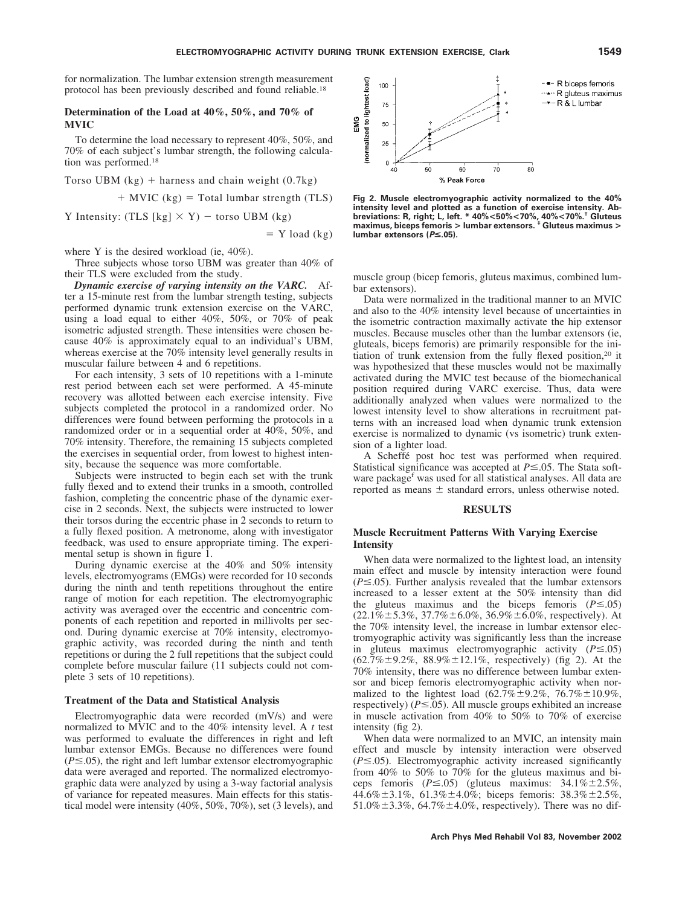$=$  Y load (kg)

for normalization. The lumbar extension strength measurement protocol has been previously described and found reliable.18

## **Determination of the Load at 40%, 50%, and 70% of MVIC**

To determine the load necessary to represent 40%, 50%, and 70% of each subject's lumbar strength, the following calculation was performed.18

Torso UBM (kg) harness and chain weight (0.7kg) MVIC (kg) Total lumbar strength (TLS)

Y Intensity: (TLS [kg]  $\times$  Y) – torso UBM (kg)

where Y is the desired workload (ie, 40%).

Three subjects whose torso UBM was greater than 40% of their TLS were excluded from the study.

*Dynamic exercise of varying intensity on the VARC.* After a 15-minute rest from the lumbar strength testing, subjects performed dynamic trunk extension exercise on the VARC, using a load equal to either 40%, 50%, or 70% of peak isometric adjusted strength. These intensities were chosen because 40% is approximately equal to an individual's UBM, whereas exercise at the 70% intensity level generally results in muscular failure between 4 and 6 repetitions.

For each intensity, 3 sets of 10 repetitions with a 1-minute rest period between each set were performed. A 45-minute recovery was allotted between each exercise intensity. Five subjects completed the protocol in a randomized order. No differences were found between performing the protocols in a randomized order or in a sequential order at 40%, 50%, and 70% intensity. Therefore, the remaining 15 subjects completed the exercises in sequential order, from lowest to highest intensity, because the sequence was more comfortable.

Subjects were instructed to begin each set with the trunk fully flexed and to extend their trunks in a smooth, controlled fashion, completing the concentric phase of the dynamic exercise in 2 seconds. Next, the subjects were instructed to lower their torsos during the eccentric phase in 2 seconds to return to a fully flexed position. A metronome, along with investigator feedback, was used to ensure appropriate timing. The experimental setup is shown in figure 1.

During dynamic exercise at the 40% and 50% intensity levels, electromyograms (EMGs) were recorded for 10 seconds during the ninth and tenth repetitions throughout the entire range of motion for each repetition. The electromyographic activity was averaged over the eccentric and concentric components of each repetition and reported in millivolts per second. During dynamic exercise at 70% intensity, electromyographic activity, was recorded during the ninth and tenth repetitions or during the 2 full repetitions that the subject could complete before muscular failure (11 subjects could not complete 3 sets of 10 repetitions).

## **Treatment of the Data and Statistical Analysis**

Electromyographic data were recorded (mV/s) and were normalized to MVIC and to the 40% intensity level. A *t* test was performed to evaluate the differences in right and left lumbar extensor EMGs. Because no differences were found  $(P \le 0.05)$ , the right and left lumbar extensor electromyographic data were averaged and reported. The normalized electromyographic data were analyzed by using a 3-way factorial analysis of variance for repeated measures. Main effects for this statistical model were intensity (40%, 50%, 70%), set (3 levels), and



**Fig 2. Muscle electromyographic activity normalized to the 40% intensity level and plotted as a function of exercise intensity. Ab**breviations: R, right; L, left. \* 40%<50%<70%, 40%<70%.' Gluteus<br>maximus, biceps femoris > lumbar extensors. \* Gluteus maximus > **lumbar extensors (***P***≤.05).** 

muscle group (bicep femoris, gluteus maximus, combined lumbar extensors).

Data were normalized in the traditional manner to an MVIC and also to the 40% intensity level because of uncertainties in the isometric contraction maximally activate the hip extensor muscles. Because muscles other than the lumbar extensors (ie, gluteals, biceps femoris) are primarily responsible for the initiation of trunk extension from the fully flexed position,20 it was hypothesized that these muscles would not be maximally activated during the MVIC test because of the biomechanical position required during VARC exercise. Thus, data were additionally analyzed when values were normalized to the lowest intensity level to show alterations in recruitment patterns with an increased load when dynamic trunk extension exercise is normalized to dynamic (vs isometric) trunk extension of a lighter load.

A Scheffe<sup>\*</sup> post hoc test was performed when required. Statistical significance was accepted at  $P \le 0.05$ . The Stata software package<sup>r</sup> was used for all statistical analyses. All data are reported as means  $\pm$  standard errors, unless otherwise noted.

#### **RESULTS**

# **Muscle Recruitment Patterns With Varying Exercise Intensity**

When data were normalized to the lightest load, an intensity main effect and muscle by intensity interaction were found  $(P \le 0.05)$ . Further analysis revealed that the lumbar extensors increased to a lesser extent at the 50% intensity than did the gluteus maximus and the biceps femoris  $(P \le 0.05)$  $(22.1\% \pm 5.3\%, 37.7\% \pm 6.0\%, 36.9\% \pm 6.0\%, respectively)$ . At the 70% intensity level, the increase in lumbar extensor electromyographic activity was significantly less than the increase in gluteus maximus electromyographic activity  $(P \le 0.05)$  $(62.7\% \pm 9.2\%, 88.9\% \pm 12.1\%, respectively)$  (fig 2). At the 70% intensity, there was no difference between lumbar extensor and bicep femoris electromyographic activity when normalized to the lightest load  $(62.7\% \pm 9.2\%, 76.7\% \pm 10.9\%,$ respectively) ( $P \le 0.05$ ). All muscle groups exhibited an increase in muscle activation from 40% to 50% to 70% of exercise intensity (fig 2).

When data were normalized to an MVIC, an intensity main effect and muscle by intensity interaction were observed  $(P \le 0.05)$ . Electromyographic activity increased significantly from 40% to 50% to 70% for the gluteus maximus and biceps femoris  $(P \le 0.05)$  (gluteus maximus:  $34.1\% \pm 2.5\%$ , 44.6% $\pm$ 3.1%, 61.3% $\pm$ 4.0%; biceps femoris: 38.3% $\pm$ 2.5%,  $51.0\% \pm 3.3\%$ , 64.7% $\pm 4.0\%$ , respectively). There was no dif-

#### **Arch Phys Med Rehabil Vol 83, November 2002**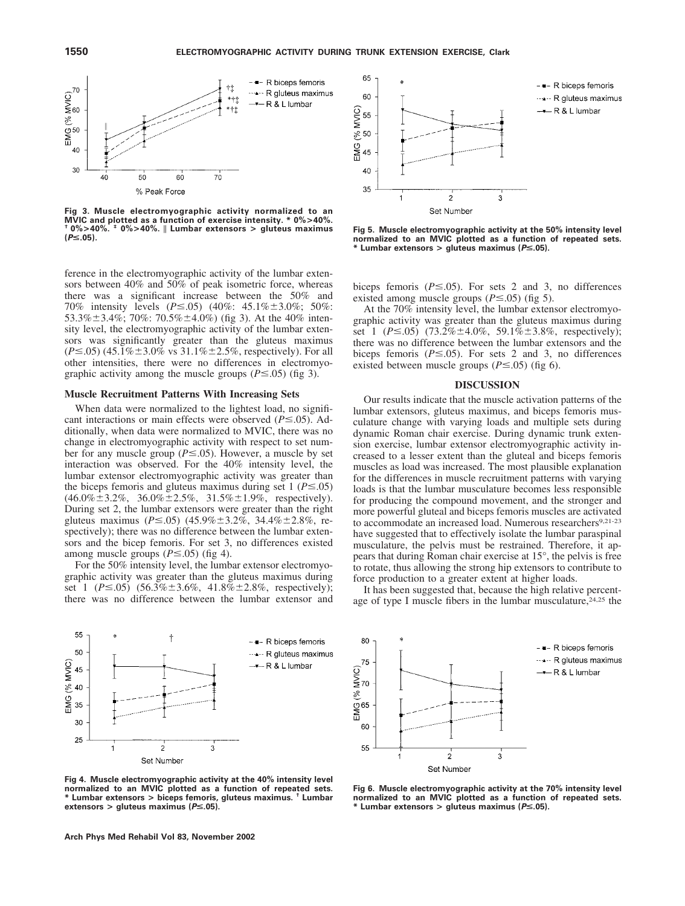

**Fig 3. Muscle electromyographic activity normalized to an MVIC and plotted as a function of exercise intensity. \* 0%>40%. † 0%>40%. ‡ 0%>40%. Lumbar extensors <sup>&</sup>gt; gluteus maximus (***P*<**.05).**

ference in the electromyographic activity of the lumbar extensors between 40% and 50% of peak isometric force, whereas there was a significant increase between the 50% and 70% intensity levels (*P* ≤ .05) (40%: 45.1% ± 3.0%; 50%: 53.3% $\pm$ 3.4%; 70%: 70.5% $\pm$ 4.0%) (fig 3). At the 40% intensity level, the electromyographic activity of the lumbar extensors was significantly greater than the gluteus maximus  $(P \le 0.05)$  (45.1% $\pm$ 3.0% vs 31.1% $\pm$ 2.5%, respectively). For all other intensities, there were no differences in electromyographic activity among the muscle groups  $(P \le 0.05)$  (fig 3).

## **Muscle Recruitment Patterns With Increasing Sets**

When data were normalized to the lightest load, no significant interactions or main effects were observed  $(P \le 0.05)$ . Additionally, when data were normalized to MVIC, there was no change in electromyographic activity with respect to set number for any muscle group ( $P \le 0.05$ ). However, a muscle by set interaction was observed. For the 40% intensity level, the lumbar extensor electromyographic activity was greater than the biceps femoris and gluteus maximus during set  $1 (P \le 0.05)$  $(46.0\% \pm 3.2\%, 36.0\% \pm 2.5\%, 31.5\% \pm 1.9\%, respectively).$ During set 2, the lumbar extensors were greater than the right gluteus maximus ( $P \le 0.05$ ) (45.9% $\pm$ 3.2%, 34.4% $\pm$ 2.8%, respectively); there was no difference between the lumbar extensors and the bicep femoris. For set 3, no differences existed among muscle groups  $(P \le 0.05)$  (fig 4).

For the 50% intensity level, the lumbar extensor electromyographic activity was greater than the gluteus maximus during set 1 ( $P \le 0.05$ ) (56.3% $\pm 3.6\%$ , 41.8% $\pm 2.8\%$ , respectively); there was no difference between the lumbar extensor and



**Fig 4. Muscle electromyographic activity at the 40% intensity level normalized to an MVIC plotted as a function of repeated sets. \* Lumbar extensors > biceps femoris, gluteus maximus. † Lumbar extensors > gluteus maximus (***P*<**.05).**



**Fig 5. Muscle electromyographic activity at the 50% intensity level normalized to an MVIC plotted as a function of repeated sets. \* Lumbar extensors > gluteus maximus (***P*<**.05).**

biceps femoris  $(P \le 0.05)$ . For sets 2 and 3, no differences existed among muscle groups  $(P \le 0.05)$  (fig 5).

At the 70% intensity level, the lumbar extensor electromyographic activity was greater than the gluteus maximus during set 1 ( $P \le 0.05$ ) (73.2% $\pm 4.0\%$ , 59.1% $\pm 3.8\%$ , respectively); there was no difference between the lumbar extensors and the biceps femoris ( $P \le 0.05$ ). For sets 2 and 3, no differences existed between muscle groups  $(P \le 0.05)$  (fig 6).

## **DISCUSSION**

Our results indicate that the muscle activation patterns of the lumbar extensors, gluteus maximus, and biceps femoris musculature change with varying loads and multiple sets during dynamic Roman chair exercise. During dynamic trunk extension exercise, lumbar extensor electromyographic activity increased to a lesser extent than the gluteal and biceps femoris muscles as load was increased. The most plausible explanation for the differences in muscle recruitment patterns with varying loads is that the lumbar musculature becomes less responsible for producing the compound movement, and the stronger and more powerful gluteal and biceps femoris muscles are activated to accommodate an increased load. Numerous researchers<sup>9,21-23</sup> have suggested that to effectively isolate the lumbar paraspinal musculature, the pelvis must be restrained. Therefore, it appears that during Roman chair exercise at 15°, the pelvis is free to rotate, thus allowing the strong hip extensors to contribute to force production to a greater extent at higher loads.

It has been suggested that, because the high relative percentage of type I muscle fibers in the lumbar musculature,<sup>24,25</sup> the



**Fig 6. Muscle electromyographic activity at the 70% intensity level normalized to an MVIC plotted as a function of repeated sets. \* Lumbar extensors > gluteus maximus (***P*<**.05).**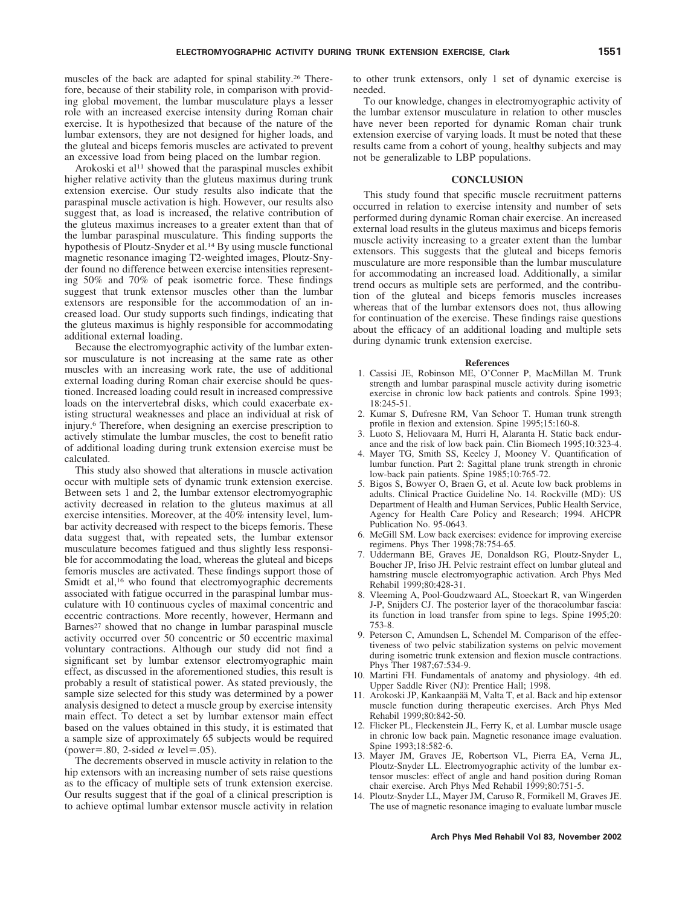muscles of the back are adapted for spinal stability.26 Therefore, because of their stability role, in comparison with providing global movement, the lumbar musculature plays a lesser role with an increased exercise intensity during Roman chair exercise. It is hypothesized that because of the nature of the lumbar extensors, they are not designed for higher loads, and the gluteal and biceps femoris muscles are activated to prevent an excessive load from being placed on the lumbar region.

Arokoski et al<sup>11</sup> showed that the paraspinal muscles exhibit higher relative activity than the gluteus maximus during trunk extension exercise. Our study results also indicate that the paraspinal muscle activation is high. However, our results also suggest that, as load is increased, the relative contribution of the gluteus maximus increases to a greater extent than that of the lumbar paraspinal musculature. This finding supports the hypothesis of Ploutz-Snyder et al.<sup>14</sup> By using muscle functional magnetic resonance imaging T2-weighted images, Ploutz-Snyder found no difference between exercise intensities representing 50% and 70% of peak isometric force. These findings suggest that trunk extensor muscles other than the lumbar extensors are responsible for the accommodation of an increased load. Our study supports such findings, indicating that the gluteus maximus is highly responsible for accommodating additional external loading.

Because the electromyographic activity of the lumbar extensor musculature is not increasing at the same rate as other muscles with an increasing work rate, the use of additional external loading during Roman chair exercise should be questioned. Increased loading could result in increased compressive loads on the intervertebral disks, which could exacerbate existing structural weaknesses and place an individual at risk of injury.6 Therefore, when designing an exercise prescription to actively stimulate the lumbar muscles, the cost to benefit ratio of additional loading during trunk extension exercise must be calculated.

This study also showed that alterations in muscle activation occur with multiple sets of dynamic trunk extension exercise. Between sets 1 and 2, the lumbar extensor electromyographic activity decreased in relation to the gluteus maximus at all exercise intensities. Moreover, at the 40% intensity level, lumbar activity decreased with respect to the biceps femoris. These data suggest that, with repeated sets, the lumbar extensor musculature becomes fatigued and thus slightly less responsible for accommodating the load, whereas the gluteal and biceps femoris muscles are activated. These findings support those of Smidt et al,<sup>16</sup> who found that electromyographic decrements associated with fatigue occurred in the paraspinal lumbar musculature with 10 continuous cycles of maximal concentric and eccentric contractions. More recently, however, Hermann and Barnes<sup>27</sup> showed that no change in lumbar paraspinal muscle activity occurred over 50 concentric or 50 eccentric maximal voluntary contractions. Although our study did not find a significant set by lumbar extensor electromyographic main effect, as discussed in the aforementioned studies, this result is probably a result of statistical power. As stated previously, the sample size selected for this study was determined by a power analysis designed to detect a muscle group by exercise intensity main effect. To detect a set by lumbar extensor main effect based on the values obtained in this study, it is estimated that a sample size of approximately 65 subjects would be required (power=.80, 2-sided  $\alpha$  level=.05).

The decrements observed in muscle activity in relation to the hip extensors with an increasing number of sets raise questions as to the efficacy of multiple sets of trunk extension exercise. Our results suggest that if the goal of a clinical prescription is to achieve optimal lumbar extensor muscle activity in relation to other trunk extensors, only 1 set of dynamic exercise is needed.

To our knowledge, changes in electromyographic activity of the lumbar extensor musculature in relation to other muscles have never been reported for dynamic Roman chair trunk extension exercise of varying loads. It must be noted that these results came from a cohort of young, healthy subjects and may not be generalizable to LBP populations.

## **CONCLUSION**

This study found that specific muscle recruitment patterns occurred in relation to exercise intensity and number of sets performed during dynamic Roman chair exercise. An increased external load results in the gluteus maximus and biceps femoris muscle activity increasing to a greater extent than the lumbar extensors. This suggests that the gluteal and biceps femoris musculature are more responsible than the lumbar musculature for accommodating an increased load. Additionally, a similar trend occurs as multiple sets are performed, and the contribution of the gluteal and biceps femoris muscles increases whereas that of the lumbar extensors does not, thus allowing for continuation of the exercise. These findings raise questions about the efficacy of an additional loading and multiple sets during dynamic trunk extension exercise.

#### **References**

- 1. Cassisi JE, Robinson ME, O'Conner P, MacMillan M. Trunk strength and lumbar paraspinal muscle activity during isometric exercise in chronic low back patients and controls. Spine 1993; 18:245-51.
- 2. Kumar S, Dufresne RM, Van Schoor T. Human trunk strength profile in flexion and extension. Spine 1995;15:160-8.
- 3. Luoto S, Heliovaara M, Hurri H, Alaranta H. Static back endurance and the risk of low back pain. Clin Biomech 1995;10:323-4.
- 4. Mayer TG, Smith SS, Keeley J, Mooney V. Quantification of lumbar function. Part 2: Sagittal plane trunk strength in chronic low-back pain patients. Spine 1985;10:765-72.
- 5. Bigos S, Bowyer O, Braen G, et al. Acute low back problems in adults. Clinical Practice Guideline No. 14. Rockville (MD): US Department of Health and Human Services, Public Health Service, Agency for Health Care Policy and Research; 1994. AHCPR Publication No. 95-0643.
- McGill SM. Low back exercises: evidence for improving exercise regimens. Phys Ther 1998;78:754-65.
- 7. Uddermann BE, Graves JE, Donaldson RG, Ploutz-Snyder L, Boucher JP, Iriso JH. Pelvic restraint effect on lumbar gluteal and hamstring muscle electromyographic activation. Arch Phys Med Rehabil 1999;80:428-31.
- 8. Vleeming A, Pool-Goudzwaard AL, Stoeckart R, van Wingerden J-P, Snijders CJ. The posterior layer of the thoracolumbar fascia: its function in load transfer from spine to legs. Spine 1995;20: 753-8.
- 9. Peterson C, Amundsen L, Schendel M. Comparison of the effectiveness of two pelvic stabilization systems on pelvic movement during isometric trunk extension and flexion muscle contractions. Phys Ther 1987;67:534-9.
- 10. Martini FH. Fundamentals of anatomy and physiology. 4th ed. Upper Saddle River (NJ): Prentice Hall; 1998.
- 11. Arokoski JP, Kankaanpää M, Valta T, et al. Back and hip extensor muscle function during therapeutic exercises. Arch Phys Med Rehabil 1999;80:842-50.
- 12. Flicker PL, Fleckenstein JL, Ferry K, et al. Lumbar muscle usage in chronic low back pain. Magnetic resonance image evaluation. Spine 1993;18:582-6.
- 13. Mayer JM, Graves JE, Robertson VL, Pierra EA, Verna JL, Ploutz-Snyder LL. Electromyographic activity of the lumbar extensor muscles: effect of angle and hand position during Roman chair exercise. Arch Phys Med Rehabil 1999;80:751-5.
- 14. Ploutz-Snyder LL, Mayer JM, Caruso R, Formikell M, Graves JE. The use of magnetic resonance imaging to evaluate lumbar muscle